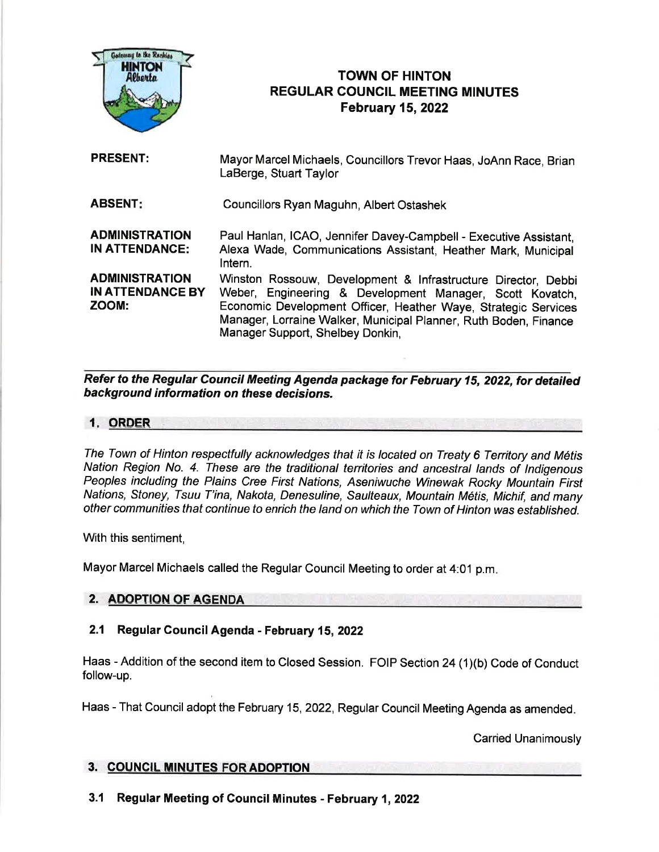

# TOWN OF HINTON REGULAR COUNCIL MEETING MINUTES February 15,2022

| <b>PRESENT:</b>                                           | Mayor Marcel Michaels, Councillors Trevor Haas, JoAnn Race, Brian<br>LaBerge, Stuart Taylor                                                                                                                                                                                                         |
|-----------------------------------------------------------|-----------------------------------------------------------------------------------------------------------------------------------------------------------------------------------------------------------------------------------------------------------------------------------------------------|
| <b>ABSENT:</b>                                            | Councillors Ryan Maguhn, Albert Ostashek                                                                                                                                                                                                                                                            |
| <b>ADMINISTRATION</b><br><b>IN ATTENDANCE:</b>            | Paul Hanlan, ICAO, Jennifer Davey-Campbell - Executive Assistant,<br>Alexa Wade, Communications Assistant, Heather Mark, Municipal<br>Intern.                                                                                                                                                       |
| <b>ADMINISTRATION</b><br><b>IN ATTENDANCE BY</b><br>ZOOM: | Winston Rossouw, Development & Infrastructure Director, Debbi<br>Weber, Engineering & Development Manager, Scott Kovatch,<br>Economic Development Officer, Heather Waye, Strategic Services<br>Manager, Lorraine Walker, Municipal Planner, Ruth Boden, Finance<br>Manager Support, Shelbey Donkin, |

Refer to the Regular Council Meeting Agenda package for February 15, 2022, for detaited background information on these decisions.

#### 1. ORDER

The Town of Hinton respectfully acknowledges that it is located on Treaty 6 Territory and Métis Nation Region No. 4. These are the traditional territories and ancestral lands of Indigenous Peoples including the Plains Cree First Nations, Aseniwuche Winewak Rocky Mountain First Nations, Stoney, Tsuu T'ina, Nakota, Denesuline, Saulteaux, Mountain M6tis, Michif, and many other communities that continue to enrich the land on which the Town of Hinton was established.

With this sentiment,

Mayor Marcel Michaels called the Regular council Meeting to order at 4:01 p.m

# 2. ADOPTION OF AG

# 2.1 Regular Gouncil Agenda - February 15,2022

Haas - Addition of the second item to Closed Session. FOIP Section 24 (1)(b) Code of Conduct follow-up.

Haas - That Council adopt the February 15,2022, Regular Council Meeting Agenda as amended

Carried Unanimously

### 3. COUNCIL MINUTES FOR ADOPTION

3.1 Regular Meeting of Council Minutes - February 1,2022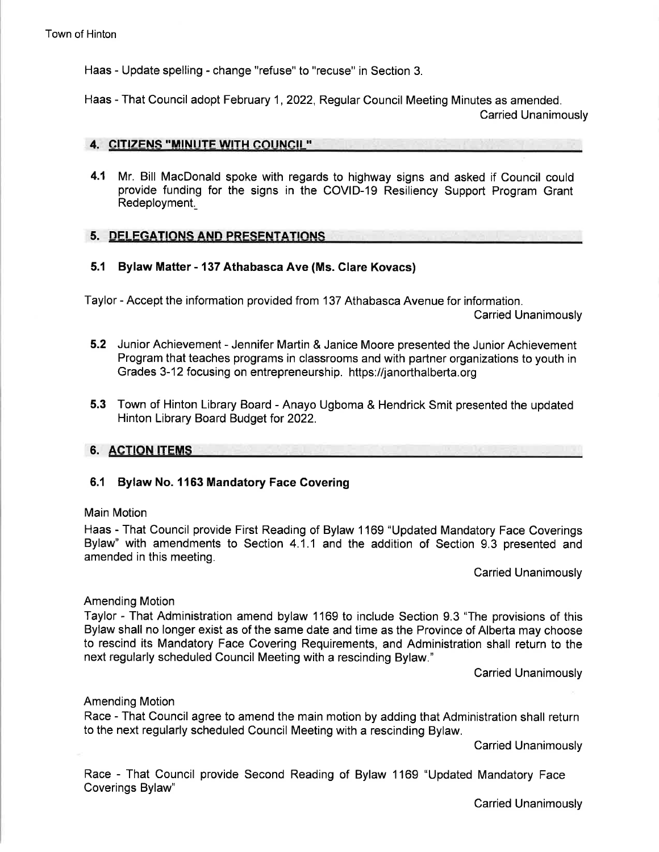Haas - Update spelling - change "refuse" to "recuse" in Section 3.

Haas - That Council adopt February 1, 2022, Regular Council Meeting Minutes as amended. Carried Unanimously

#### 4. CITIZENS "MINUTE WITH COUNCIL"

4.1 Mr. Bill MacDonald spoke with regards to highway signs and asked if Council could provide funding for the signs in the COVID-19 Resiliency Support Program Grant Redeployment.

#### 5. DELEGATIONS AND PRESENTATIONS

### 5.1 Bylaw Matter - 137 Athabasca Ave (Ms. Glare Kovacs)

Taylor - Accept the information provided from 137 Athabasca Avenue for information.

Carried Unanimously

- 5.2 Junior Achievement Jennifer Martin & Janice Moore presented the Junior Achievement Program that teaches programs in classrooms and with partner organizations to youth in Grades 3-12 focusing on entrepreneurship. https://janorthalberta.org
- 5.3 Town of Hinton Library Board Anayo Ugboma & Hendrick Smit presented the updated Hinton Library Board Budget for 2022.

#### 6. ACTION ITEMS

### 6.1 Bylaw No. 1163 Mandatory Face Govering

#### Main Motion

Haas - That Council provide First Reading of Bylaw 1169 "Updated Mandatory Face Coverings Bylaw" with amendments to Section 4.1.1 and the addition of Section 9.3 presented and amended in this meeting.

Carried Unanimously

#### Amending Motion

Taylor - That Administration amend bylaw 1169 to include Section 9.3 "The provisions of this Bylaw shall no longer exist as of the same date and time as the Province of Alberta may choose to rescind its Mandatory Face Covering Requirements, and Administration shall return to the next regularly scheduled Council Meeting with a rescinding Bylaw."

Carried Unanimously

#### Amending Motion

Race - That Council agree to amend the main motion by adding that Administration shall return to the next regularly scheduled Council Meeting with a rescinding Bylaw.

Carried Unanimously

Race - That Council provide Second Reading of Bylaw 1169 "Updated Mandatory Face Coverings Bylaw"

Carried Unanimously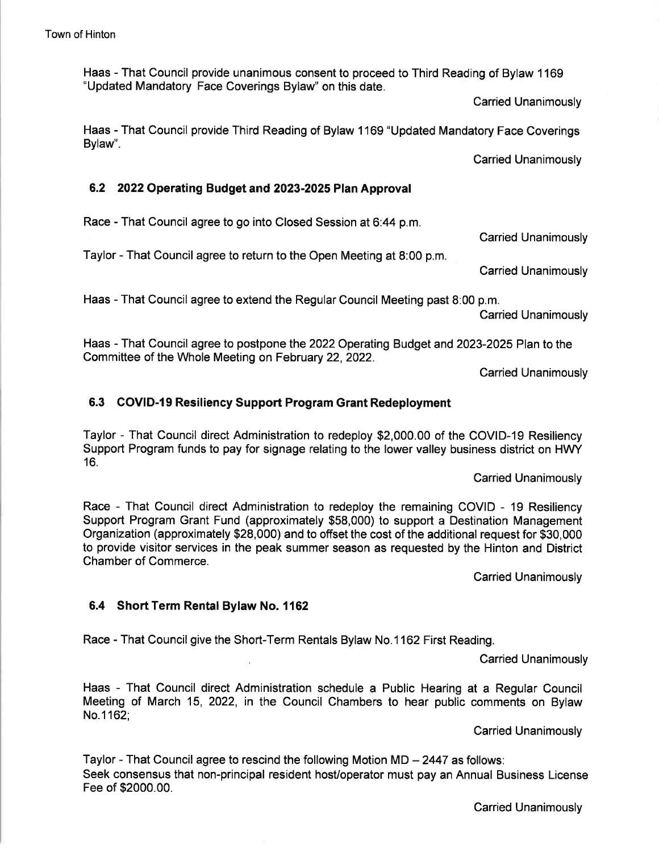Haas - That Council provide unanimous consent to proceed to Third Reading of Bylaw 1169 "Updated Mandatory Face Coverings Bylaw" on this date.

Carried Unanimously

Haas - That Council provide Third Reading of Bylaw 1169 "Updated Mandatory Face Coverings Bylaw".

Carried Unanimously

### 6.2 2022Operating Budgetand 2023-2025 Plan Approval

Race - That Council agree to go into Closed Session at 6:44 p.m.

Taylor - That Council agree to return to the Open Meeting at 8:00 p.m.

Carried Unanimously

Haas - That Council agree to extend the Regular Council Meeting past 8:00 p.m.

Carried Unanimously

Haas - That Council agree to postpone the 2022 Operating Budget and 2023-2025 Plan to the Committee of the Whole Meeting on February 22, 2022.

Carried Unanimously

## 6.3 COVID-l9 Resiliency Support Program Grant Redeployment

Taylor - That Council direct Administration to redeploy \$2,000.00 of the COVID-19 Resiliency Support Program funds to pay for signage relating to the lower valley business district on HWY 16.

Carried Unanimously

Race - That Council direct Administration to redeploy the remaining COVID - 19 Resiliency Support Program Grant Fund (approximately \$58,000) to support a Destination Management Organization (approximately \$28,000) and to offset the cost of the additional request for \$30,000 to provide visitor services in the peak summer season as requested by the Hinton and District Chamber of Commerce.

Carried Unanimously

### 6.4 Short Term Rental Bylaw No. 1162

Race - That Councilgive the Short-Term Rentals Bylaw No.1162 First Reading.

Carried Unanimously

Haas - That Council direct Administration schedule a Public Hearing at a Regular Council Meeting of March 15, 2022, in the Council Chambers to hear public comments on Bylaw No.1162;

Carried Unanimously

Taylor - That Council agree to rescind the following Motion  $MD - 2447$  as follows: Seek consensus that non-principal resident hosVoperator must pay an Annual Business License Fee of \$2000.00.

Carried Unanimously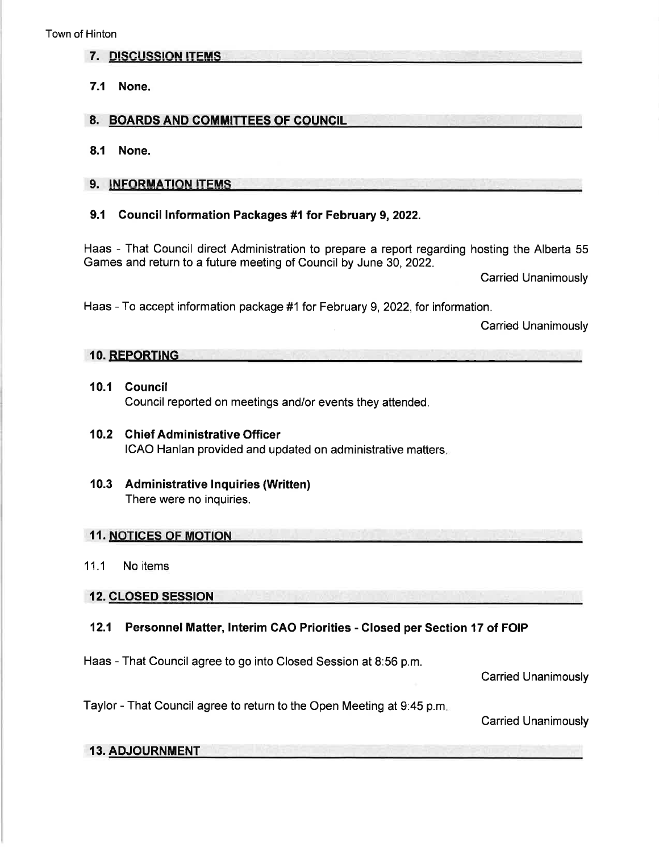- 7. DISCUSSION ITEMS
- 7.1 None.

### 8. BOARDS AND COMMITTEES OF COUNCIL **EXECUTER** 2014

8.1 None.

### 9. INFORMATION ITEMS

### 9.1 Council lnformation Packages #1 for February 9,2022.

Haas - That Council direct Administration to prepare a report regarding hosting the Alberta 55 Games and return to a future meeting of Council by June 30,2022.

Carried Unanimously

Haas - To accept information package #1 for February 9, 2022, for information.

Carried Unanimously

# 10. REPORTING

- 10.1 Gouncil Council reported on meetings and/or events they attended.
- 10.2 Ghief Administrative Officer ICAO Hanlan provided and updated on administrative matters

### 10.3 Administrative Inquiries (Written) There were no inquiries.

#### 11. NOTICES OF MOTION

11.1 No items

12. CLOSED SESSION

### 12.1 Personnel Matter, lnterim GAO Priorities - Closed per Section 17 of FOIP

Haas - That Council agree to go into Closed Session at 8:56 p.m.

Carried Unanimously

Taylor - That Council agree to return to the Open Meeting at 9:45 p.m

Carried Unanimously

### 13. ADJOURNMENT